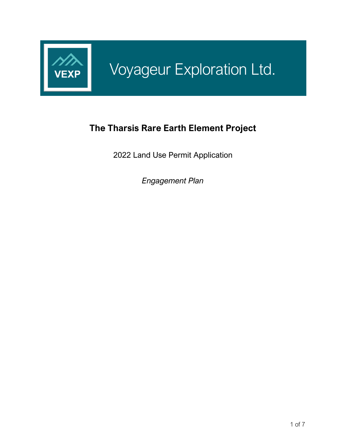

# **The Tharsis Rare Earth Element Project**

2022 Land Use Permit Application

*Engagement Plan*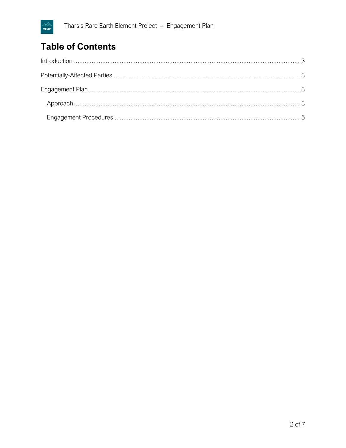# **Table of Contents**

 $\frac{\sqrt{2}}{\sqrt{2}}$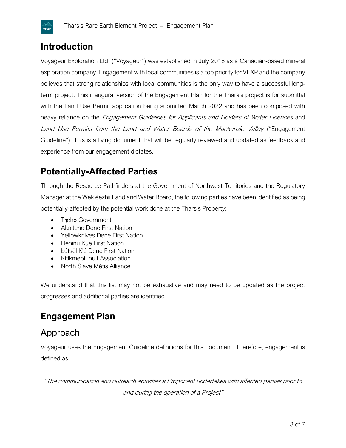### <span id="page-2-0"></span>**Introduction**

╱╱╱∧<br>VEXP

Voyageur Exploration Ltd. ("Voyageur") was established in July 2018 as a Canadian-based mineral exploration company. Engagement with local communities is a top priority for VEXP and the company believes that strong relationships with local communities is the only way to have a successful longterm project. This inaugural version of the Engagement Plan for the Tharsis project is for submittal with the Land Use Permit application being submitted March 2022 and has been composed with heavy reliance on the *Engagement Guidelines for Applicants and Holders of Water Licences* and Land Use Permits from the Land and Water Boards of the Mackenzie Valley ("Engagement Guideline"). This is a living document that will be regularly reviewed and updated as feedback and experience from our engagement dictates.

## <span id="page-2-1"></span>**Potentially-Affected Parties**

Through the Resource Pathfinders at the Government of Northwest Territories and the Regulatory Manager at the Wek'èezhìi Land and Water Board, the following parties have been identified as being potentially-affected by the potential work done at the Tharsis Property:

- Tłicho Government
- Akaitcho Dene First Nation
- Yellowknives Dene First Nation
- Deninu Kué First Nation
- Łútsël K'é Dene First Nation
- Kitikmeot Inuit Association
- North Slave Métis Alliance

We understand that this list may not be exhaustive and may need to be updated as the project progresses and additional parties are identified.

### <span id="page-2-2"></span>**Engagement Plan**

### <span id="page-2-3"></span>Approach

Voyageur uses the Engagement Guideline definitions for this document. Therefore, engagement is defined as:

"The communication and outreach activities a Proponent undertakes with affected parties prior to and during the operation of a Project"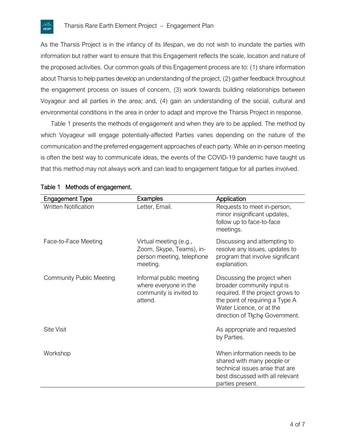

As the Tharsis Project is in the infancy of its lifespan, we do not wish to inundate the parties with information but rather want to ensure that this Engagement reflects the scale, location and nature of the proposed activities. Our common goals of this Engagement process are to: (1) share information about Tharsis to help parties develop an understanding of the project, (2) gather feedback throughout the engagement process on issues of concern, (3) work towards building relationships between Voyageur and all parties in the area; and, (4) gain an understanding of the social, cultural and environmental conditions in the area in order to adapt and improve the Tharsis Project in response.

Table 1 presents the methods of engagement and when they are to be applied. The method by which Voyageur will engage potentially-affected Parties varies depending on the nature of the communication and the preferred engagement approaches of each party. While an in-person meeting is often the best way to communicate ideas, the events of the COVID-19 pandemic have taught us that this method may not always work and can lead to engagement fatigue for all parties involved.

| <b>Engagement Type</b>          | <b>Examples</b>                                                                             | Application                                                                                                                                                                                     |  |
|---------------------------------|---------------------------------------------------------------------------------------------|-------------------------------------------------------------------------------------------------------------------------------------------------------------------------------------------------|--|
| <b>Written Notification</b>     | Letter, Email.                                                                              | Requests to meet in-person,<br>minor insignificant updates,<br>follow up to face-to-face<br>meetings.                                                                                           |  |
| Face-to-Face Meeting            | Virtual meeting (e.g.,<br>Zoom, Skype, Teams), in-<br>person meeting, telephone<br>meeting. | Discussing and attempting to<br>resolve any issues, updates to<br>program that involve significant<br>explanation.                                                                              |  |
| <b>Community Public Meeting</b> | Informal public meeting<br>where everyone in the<br>community is invited to<br>attend.      | Discussing the project when<br>broader community input is<br>required. If the project grows to<br>the point of requiring a Type A<br>Water Licence, or at the<br>direction of Thcho Government. |  |
| Site Visit                      |                                                                                             | As appropriate and requested<br>by Parties.                                                                                                                                                     |  |
| Workshop                        |                                                                                             | When information needs to be<br>shared with many people or<br>technical issues arise that are<br>best discussed with all relevant<br>parties present.                                           |  |

#### Table 1 Methods of engagement.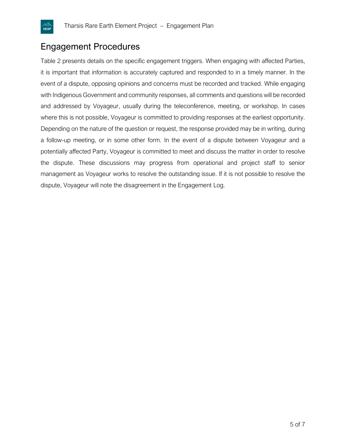#### <span id="page-4-0"></span>Engagement Procedures

Table 2 presents details on the specific engagement triggers. When engaging with affected Parties, it is important that information is accurately captured and responded to in a timely manner. In the event of a dispute, opposing opinions and concerns must be recorded and tracked. While engaging with Indigenous Government and community responses, all comments and questions will be recorded and addressed by Voyageur, usually during the teleconference, meeting, or workshop. In cases where this is not possible, Voyageur is committed to providing responses at the earliest opportunity. Depending on the nature of the question or request, the response provided may be in writing, during a follow-up meeting, or in some other form. In the event of a dispute between Voyageur and a potentially affected Party, Voyageur is committed to meet and discuss the matter in order to resolve the dispute. These discussions may progress from operational and project staff to senior management as Voyageur works to resolve the outstanding issue. If it is not possible to resolve the dispute, Voyageur will note the disagreement in the Engagement Log.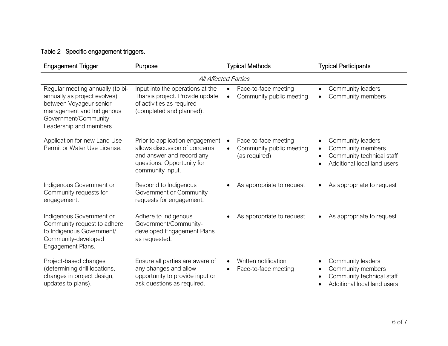#### Table 2 Specific engagement triggers.

| <b>Engagement Trigger</b>                                                                                                                                                   | Purpose                                                                                                                                         | <b>Typical Methods</b>                                            | <b>Typical Participants</b>                                                                                     |  |  |  |
|-----------------------------------------------------------------------------------------------------------------------------------------------------------------------------|-------------------------------------------------------------------------------------------------------------------------------------------------|-------------------------------------------------------------------|-----------------------------------------------------------------------------------------------------------------|--|--|--|
| All Affected Parties                                                                                                                                                        |                                                                                                                                                 |                                                                   |                                                                                                                 |  |  |  |
| Regular meeting annually (to bi-<br>annually as project evolves)<br>between Voyageur senior<br>management and Indigenous<br>Government/Community<br>Leadership and members. | Input into the operations at the<br>Tharsis project. Provide update<br>of activities as required<br>(completed and planned).                    | Face-to-face meeting<br>Community public meeting                  | Community leaders<br>$\bullet$<br>Community members                                                             |  |  |  |
| Application for new Land Use<br>Permit or Water Use License.                                                                                                                | Prior to application engagement<br>allows discussion of concerns<br>and answer and record any<br>questions. Opportunity for<br>community input. | Face-to-face meeting<br>Community public meeting<br>(as required) | Community leaders<br>Community members<br>Community technical staff<br>Additional local land users              |  |  |  |
| Indigenous Government or<br>Community requests for<br>engagement.                                                                                                           | Respond to Indigenous<br>Government or Community<br>requests for engagement.                                                                    | As appropriate to request                                         | As appropriate to request                                                                                       |  |  |  |
| Indigenous Government or<br>Community request to adhere<br>to Indigenous Government/<br>Community-developed<br>Engagement Plans.                                            | Adhere to Indigenous<br>Government/Community-<br>developed Engagement Plans<br>as requested.                                                    | As appropriate to request                                         | As appropriate to request                                                                                       |  |  |  |
| Project-based changes<br>(determining drill locations,<br>changes in project design,<br>updates to plans).                                                                  | Ensure all parties are aware of<br>any changes and allow<br>opportunity to provide input or<br>ask questions as required.                       | Written notification<br>Face-to-face meeting<br>$\bullet$         | Community leaders<br>$\bullet$<br>Community members<br>Community technical staff<br>Additional local land users |  |  |  |